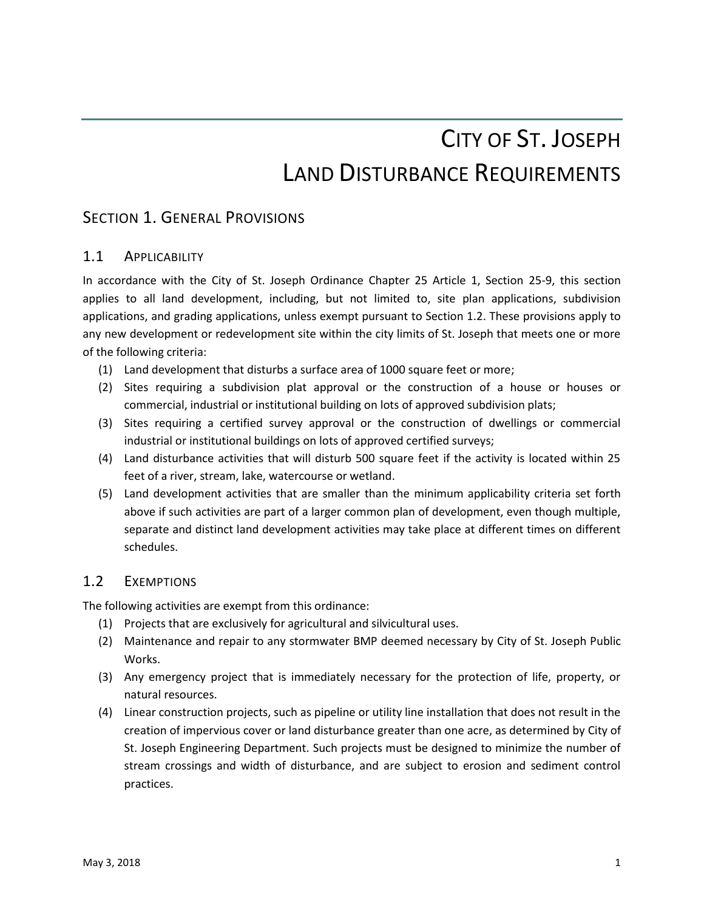# CITY OF ST. JOSEPH LAND DISTURBANCE REQUIREMENTS

# SECTION 1. GENERAL PROVISIONS

# 1.1 APPLICABILITY

In accordance with the City of St. Joseph Ordinance Chapter 25 Article 1, Section 25-9, this section applies to all land development, including, but not limited to, site plan applications, subdivision applications, and grading applications, unless exempt pursuant to Section 1.2. These provisions apply to any new development or redevelopment site within the city limits of St. Joseph that meets one or more of the following criteria:

- (1) Land development that disturbs a surface area of 1000 square feet or more;
- (2) Sites requiring a subdivision plat approval or the construction of a house or houses or commercial, industrial or institutional building on lots of approved subdivision plats;
- (3) Sites requiring a certified survey approval or the construction of dwellings or commercial industrial or institutional buildings on lots of approved certified surveys;
- (4) Land disturbance activities that will disturb 500 square feet if the activity is located within 25 feet of a river, stream, lake, watercourse or wetland.
- (5) Land development activities that are smaller than the minimum applicability criteria set forth above if such activities are part of a larger common plan of development, even though multiple, separate and distinct land development activities may take place at different times on different schedules.

# 1.2 EXEMPTIONS

The following activities are exempt from this ordinance:

- (1) Projects that are exclusively for agricultural and silvicultural uses.
- (2) Maintenance and repair to any stormwater BMP deemed necessary by City of St. Joseph Public Works.
- (3) Any emergency project that is immediately necessary for the protection of life, property, or natural resources.
- (4) Linear construction projects, such as pipeline or utility line installation that does not result in the creation of impervious cover or land disturbance greater than one acre, as determined by City of St. Joseph Engineering Department. Such projects must be designed to minimize the number of stream crossings and width of disturbance, and are subject to erosion and sediment control practices.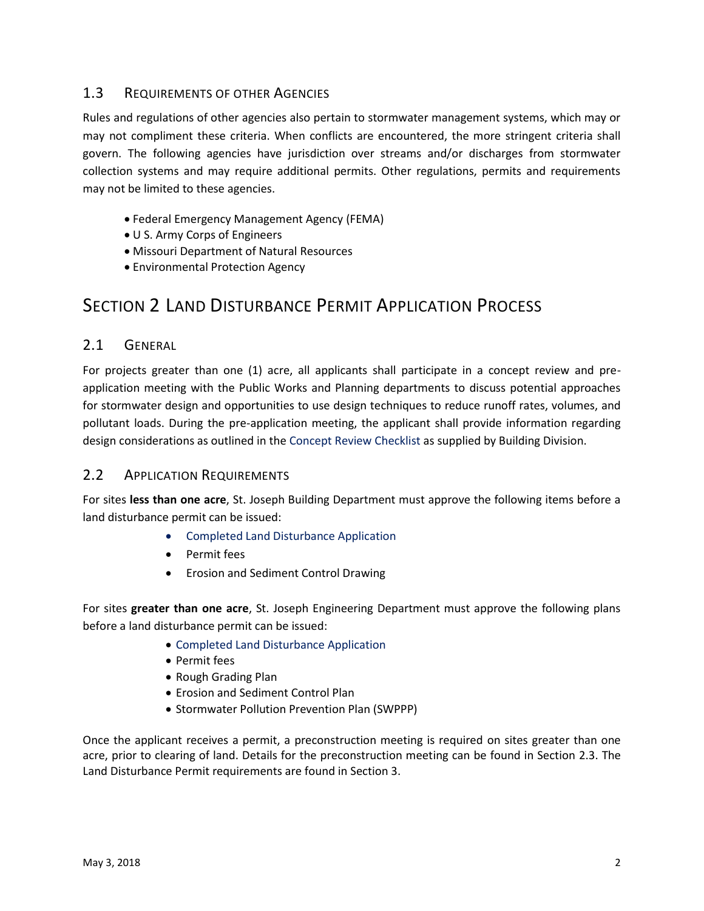# 1.3 REQUIREMENTS OF OTHER AGENCIES

Rules and regulations of other agencies also pertain to stormwater management systems, which may or may not compliment these criteria. When conflicts are encountered, the more stringent criteria shall govern. The following agencies have jurisdiction over streams and/or discharges from stormwater collection systems and may require additional permits. Other regulations, permits and requirements may not be limited to these agencies.

- Federal Emergency Management Agency (FEMA)
- U S. Army Corps of Engineers
- Missouri Department of Natural Resources
- Environmental Protection Agency

# SECTION 2 LAND DISTURBANCE PERMIT APPLICATION PROCESS

# 2.1 GENERAL

For projects greater than one (1) acre, all applicants shall participate in a concept review and preapplication meeting with the Public Works and Planning departments to discuss potential approaches for stormwater design and opportunities to use design techniques to reduce runoff rates, volumes, and pollutant loads. During the pre-application meeting, the applicant shall provide information regarding design considerations as outlined in the Concept Review Checklist as supplied by Building Division.

# 2.2 APPLICATION REQUIREMENTS

For sites **less than one acre**, St. Joseph Building Department must approve the following items before a land disturbance permit can be issued:

- **•** Completed Land Disturbance Application
- Permit fees
- Erosion and Sediment Control Drawing

For sites **greater than one acre**, St. Joseph Engineering Department must approve the following plans before a land disturbance permit can be issued:

- Completed Land Disturbance Application
- Permit fees
- Rough Grading Plan
- Erosion and Sediment Control Plan
- Stormwater Pollution Prevention Plan (SWPPP)

Once the applicant receives a permit, a preconstruction meeting is required on sites greater than one acre, prior to clearing of land. Details for the preconstruction meeting can be found in Section 2.3. The Land Disturbance Permit requirements are found in Section 3.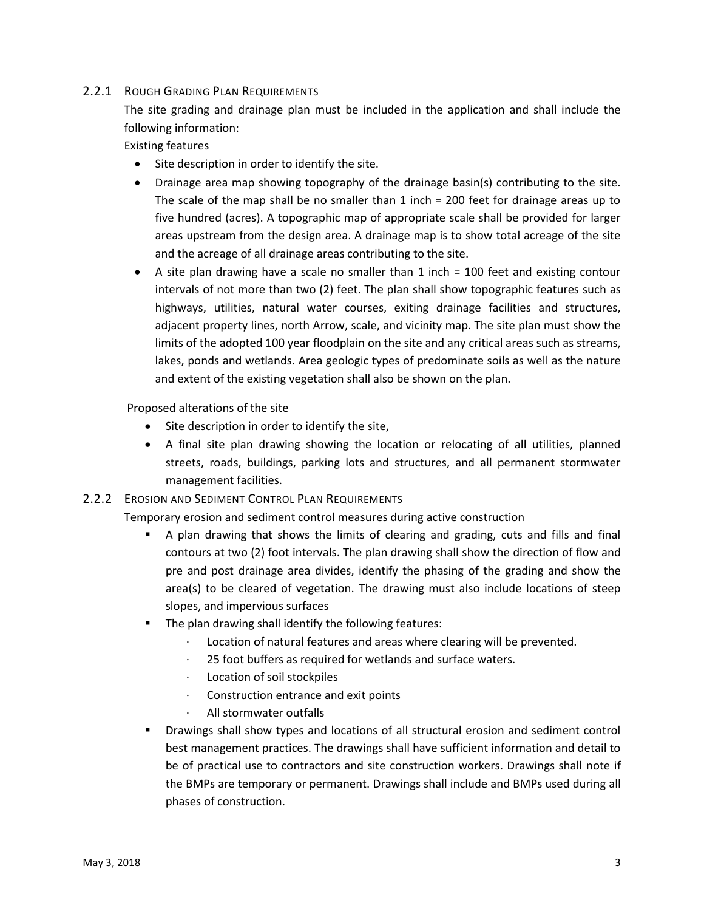#### 2.2.1 ROUGH GRADING PLAN REQUIREMENTS

The site grading and drainage plan must be included in the application and shall include the following information:

Existing features

- Site description in order to identify the site.
- Drainage area map showing topography of the drainage basin(s) contributing to the site. The scale of the map shall be no smaller than 1 inch = 200 feet for drainage areas up to five hundred (acres). A topographic map of appropriate scale shall be provided for larger areas upstream from the design area. A drainage map is to show total acreage of the site and the acreage of all drainage areas contributing to the site.
- A site plan drawing have a scale no smaller than 1 inch = 100 feet and existing contour intervals of not more than two (2) feet. The plan shall show topographic features such as highways, utilities, natural water courses, exiting drainage facilities and structures, adjacent property lines, north Arrow, scale, and vicinity map. The site plan must show the limits of the adopted 100 year floodplain on the site and any critical areas such as streams, lakes, ponds and wetlands. Area geologic types of predominate soils as well as the nature and extent of the existing vegetation shall also be shown on the plan.

Proposed alterations of the site

- Site description in order to identify the site,
- A final site plan drawing showing the location or relocating of all utilities, planned streets, roads, buildings, parking lots and structures, and all permanent stormwater management facilities.

# 2.2.2 EROSION AND SEDIMENT CONTROL PLAN REQUIREMENTS

Temporary erosion and sediment control measures during active construction

- A plan drawing that shows the limits of clearing and grading, cuts and fills and final contours at two (2) foot intervals. The plan drawing shall show the direction of flow and pre and post drainage area divides, identify the phasing of the grading and show the area(s) to be cleared of vegetation. The drawing must also include locations of steep slopes, and impervious surfaces
- **The plan drawing shall identify the following features:** 
	- Location of natural features and areas where clearing will be prevented.
	- 25 foot buffers as required for wetlands and surface waters.
	- Location of soil stockpiles
	- Construction entrance and exit points
	- · All stormwater outfalls
- Drawings shall show types and locations of all structural erosion and sediment control best management practices. The drawings shall have sufficient information and detail to be of practical use to contractors and site construction workers. Drawings shall note if the BMPs are temporary or permanent. Drawings shall include and BMPs used during all phases of construction.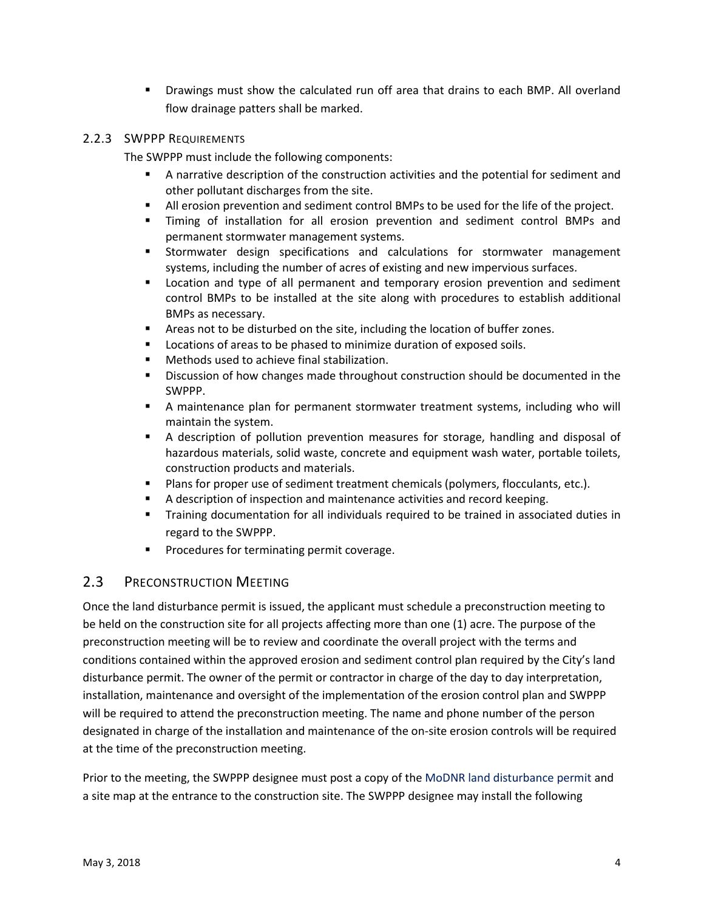Drawings must show the calculated run off area that drains to each BMP. All overland flow drainage patters shall be marked.

#### 2.2.3 SWPPP REQUIREMENTS

The SWPPP must include the following components:

- A narrative description of the construction activities and the potential for sediment and other pollutant discharges from the site.
- All erosion prevention and sediment control BMPs to be used for the life of the project.
- Timing of installation for all erosion prevention and sediment control BMPs and permanent stormwater management systems.
- **Stormwater design specifications and calculations for stormwater management** systems, including the number of acres of existing and new impervious surfaces.
- **EXEC** Location and type of all permanent and temporary erosion prevention and sediment control BMPs to be installed at the site along with procedures to establish additional BMPs as necessary.
- Areas not to be disturbed on the site, including the location of buffer zones.
- **Locations of areas to be phased to minimize duration of exposed soils.**
- **Methods used to achieve final stabilization.**
- Discussion of how changes made throughout construction should be documented in the SWPPP.
- A maintenance plan for permanent stormwater treatment systems, including who will maintain the system.
- A description of pollution prevention measures for storage, handling and disposal of hazardous materials, solid waste, concrete and equipment wash water, portable toilets, construction products and materials.
- Plans for proper use of sediment treatment chemicals (polymers, flocculants, etc.).
- A description of inspection and maintenance activities and record keeping.
- Training documentation for all individuals required to be trained in associated duties in regard to the SWPPP.
- **Procedures for terminating permit coverage.**

# 2.3 PRECONSTRUCTION MEETING

Once the land disturbance permit is issued, the applicant must schedule a preconstruction meeting to be held on the construction site for all projects affecting more than one (1) acre. The purpose of the preconstruction meeting will be to review and coordinate the overall project with the terms and conditions contained within the approved erosion and sediment control plan required by the City's land disturbance permit. The owner of the permit or contractor in charge of the day to day interpretation, installation, maintenance and oversight of the implementation of the erosion control plan and SWPPP will be required to attend the preconstruction meeting. The name and phone number of the person designated in charge of the installation and maintenance of the on-site erosion controls will be required at the time of the preconstruction meeting.

Prior to the meeting, the SWPPP designee must post a copy of the MoDNR land disturbance permit and a site map at the entrance to the construction site. The SWPPP designee may install the following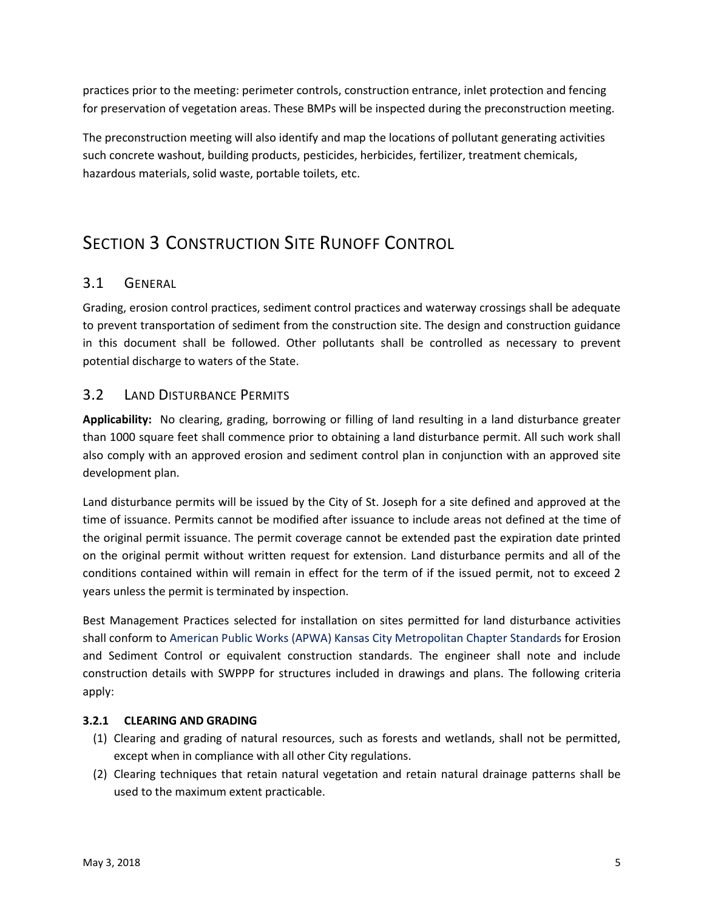practices prior to the meeting: perimeter controls, construction entrance, inlet protection and fencing for preservation of vegetation areas. These BMPs will be inspected during the preconstruction meeting.

The preconstruction meeting will also identify and map the locations of pollutant generating activities such concrete washout, building products, pesticides, herbicides, fertilizer, treatment chemicals, hazardous materials, solid waste, portable toilets, etc.

# SECTION 3 CONSTRUCTION SITE RUNOFF CONTROL

# 3.1 GENERAL

Grading, erosion control practices, sediment control practices and waterway crossings shall be adequate to prevent transportation of sediment from the construction site. The design and construction guidance in this document shall be followed. Other pollutants shall be controlled as necessary to prevent potential discharge to waters of the State.

# 3.2 LAND DISTURBANCE PERMITS

**Applicability:** No clearing, grading, borrowing or filling of land resulting in a land disturbance greater than 1000 square feet shall commence prior to obtaining a land disturbance permit. All such work shall also comply with an approved erosion and sediment control plan in conjunction with an approved site development plan.

Land disturbance permits will be issued by the City of St. Joseph for a site defined and approved at the time of issuance. Permits cannot be modified after issuance to include areas not defined at the time of the original permit issuance. The permit coverage cannot be extended past the expiration date printed on the original permit without written request for extension. Land disturbance permits and all of the conditions contained within will remain in effect for the term of if the issued permit, not to exceed 2 years unless the permit is terminated by inspection.

Best Management Practices selected for installation on sites permitted for land disturbance activities shall conform to American Public Works (APWA) Kansas City Metropolitan Chapter Standards for Erosion and Sediment Control or equivalent construction standards. The engineer shall note and include construction details with SWPPP for structures included in drawings and plans. The following criteria apply:

# **3.2.1 CLEARING AND GRADING**

- (1) Clearing and grading of natural resources, such as forests and wetlands, shall not be permitted, except when in compliance with all other City regulations.
- (2) Clearing techniques that retain natural vegetation and retain natural drainage patterns shall be used to the maximum extent practicable.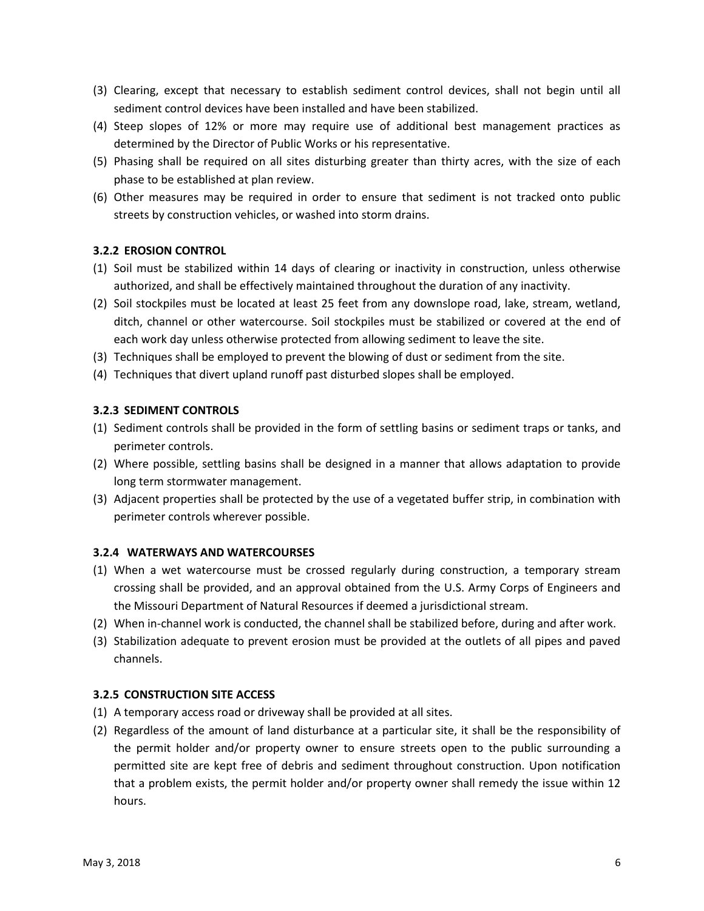- (3) Clearing, except that necessary to establish sediment control devices, shall not begin until all sediment control devices have been installed and have been stabilized.
- (4) Steep slopes of 12% or more may require use of additional best management practices as determined by the Director of Public Works or his representative.
- (5) Phasing shall be required on all sites disturbing greater than thirty acres, with the size of each phase to be established at plan review.
- (6) Other measures may be required in order to ensure that sediment is not tracked onto public streets by construction vehicles, or washed into storm drains.

#### **3.2.2 EROSION CONTROL**

- (1) Soil must be stabilized within 14 days of clearing or inactivity in construction, unless otherwise authorized, and shall be effectively maintained throughout the duration of any inactivity.
- (2) Soil stockpiles must be located at least 25 feet from any downslope road, lake, stream, wetland, ditch, channel or other watercourse. Soil stockpiles must be stabilized or covered at the end of each work day unless otherwise protected from allowing sediment to leave the site.
- (3) Techniques shall be employed to prevent the blowing of dust or sediment from the site.
- (4) Techniques that divert upland runoff past disturbed slopes shall be employed.

#### **3.2.3 SEDIMENT CONTROLS**

- (1) Sediment controls shall be provided in the form of settling basins or sediment traps or tanks, and perimeter controls.
- (2) Where possible, settling basins shall be designed in a manner that allows adaptation to provide long term stormwater management.
- (3) Adjacent properties shall be protected by the use of a vegetated buffer strip, in combination with perimeter controls wherever possible.

#### **3.2.4 WATERWAYS AND WATERCOURSES**

- (1) When a wet watercourse must be crossed regularly during construction, a temporary stream crossing shall be provided, and an approval obtained from the U.S. Army Corps of Engineers and the Missouri Department of Natural Resources if deemed a jurisdictional stream.
- (2) When in-channel work is conducted, the channel shall be stabilized before, during and after work.
- (3) Stabilization adequate to prevent erosion must be provided at the outlets of all pipes and paved channels.

#### **3.2.5 CONSTRUCTION SITE ACCESS**

- (1) A temporary access road or driveway shall be provided at all sites.
- (2) Regardless of the amount of land disturbance at a particular site, it shall be the responsibility of the permit holder and/or property owner to ensure streets open to the public surrounding a permitted site are kept free of debris and sediment throughout construction. Upon notification that a problem exists, the permit holder and/or property owner shall remedy the issue within 12 hours.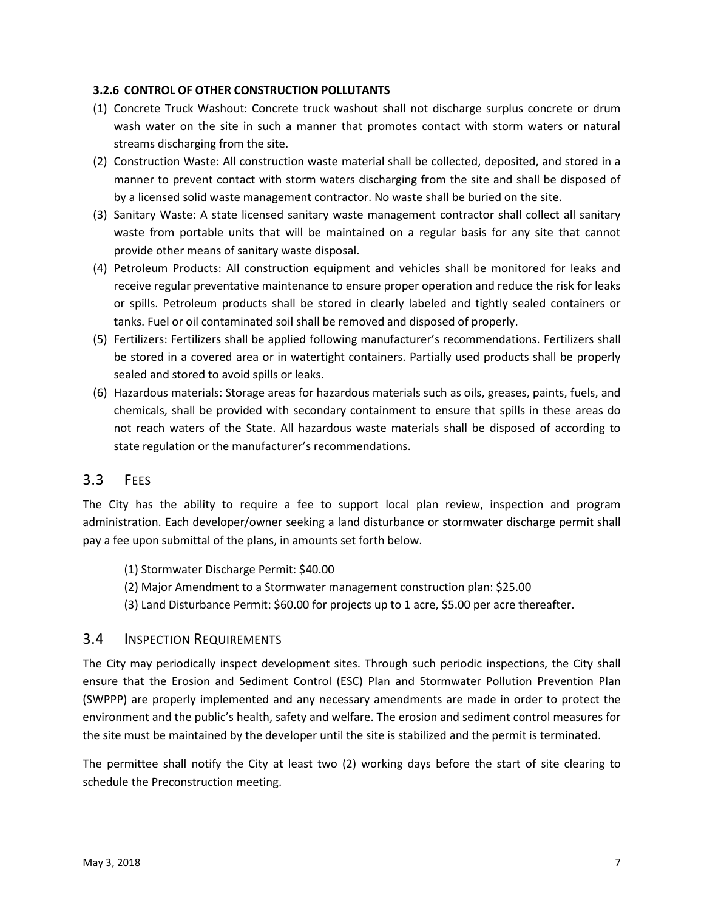#### **3.2.6 CONTROL OF OTHER CONSTRUCTION POLLUTANTS**

- (1) Concrete Truck Washout: Concrete truck washout shall not discharge surplus concrete or drum wash water on the site in such a manner that promotes contact with storm waters or natural streams discharging from the site.
- (2) Construction Waste: All construction waste material shall be collected, deposited, and stored in a manner to prevent contact with storm waters discharging from the site and shall be disposed of by a licensed solid waste management contractor. No waste shall be buried on the site.
- (3) Sanitary Waste: A state licensed sanitary waste management contractor shall collect all sanitary waste from portable units that will be maintained on a regular basis for any site that cannot provide other means of sanitary waste disposal.
- (4) Petroleum Products: All construction equipment and vehicles shall be monitored for leaks and receive regular preventative maintenance to ensure proper operation and reduce the risk for leaks or spills. Petroleum products shall be stored in clearly labeled and tightly sealed containers or tanks. Fuel or oil contaminated soil shall be removed and disposed of properly.
- (5) Fertilizers: Fertilizers shall be applied following manufacturer's recommendations. Fertilizers shall be stored in a covered area or in watertight containers. Partially used products shall be properly sealed and stored to avoid spills or leaks.
- (6) Hazardous materials: Storage areas for hazardous materials such as oils, greases, paints, fuels, and chemicals, shall be provided with secondary containment to ensure that spills in these areas do not reach waters of the State. All hazardous waste materials shall be disposed of according to state regulation or the manufacturer's recommendations.

# 3.3 FEES

The City has the ability to require a fee to support local plan review, inspection and program administration. Each developer/owner seeking a land disturbance or stormwater discharge permit shall pay a fee upon submittal of the plans, in amounts set forth below.

- (1) Stormwater Discharge Permit: \$40.00
- (2) Major Amendment to a Stormwater management construction plan: \$25.00
- (3) Land Disturbance Permit: \$60.00 for projects up to 1 acre, \$5.00 per acre thereafter.

# 3.4 INSPECTION REQUIREMENTS

The City may periodically inspect development sites. Through such periodic inspections, the City shall ensure that the Erosion and Sediment Control (ESC) Plan and Stormwater Pollution Prevention Plan (SWPPP) are properly implemented and any necessary amendments are made in order to protect the environment and the public's health, safety and welfare. The erosion and sediment control measures for the site must be maintained by the developer until the site is stabilized and the permit is terminated.

The permittee shall notify the City at least two (2) working days before the start of site clearing to schedule the Preconstruction meeting.